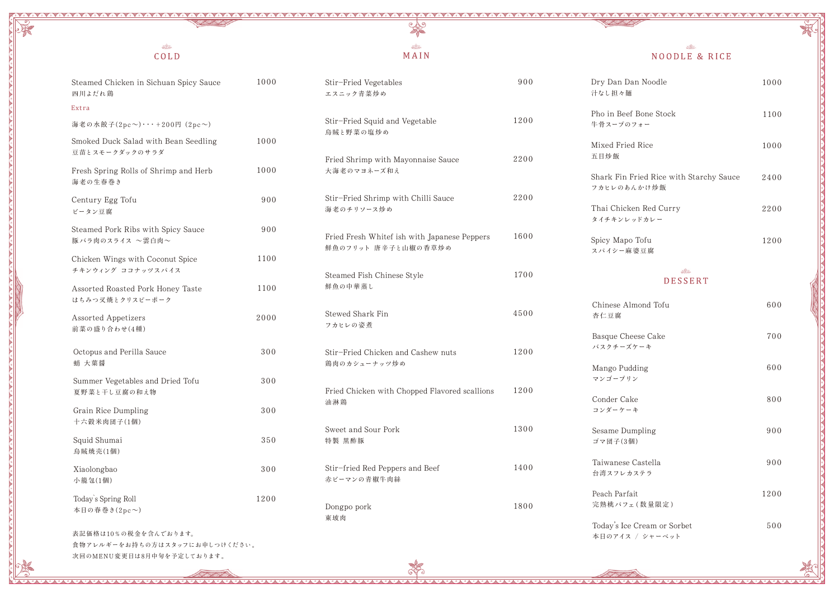# $\frac{d}{d\theta}$

AAAAAAAAA

## MAIN

Cope

 $\bullet \bullet \bullet \bullet \bullet \bullet \bullet$ 

..................................

| Steamed Chicken in Sichuan Spicy Sauce<br>四川よだれ鶏       | 1000 | Stir-Fried Vegetables<br>エスニック青菜炒め                                  | 900  | Dry Dan Dan Noodle<br>汁なし担々麺                           | 1000       |
|--------------------------------------------------------|------|---------------------------------------------------------------------|------|--------------------------------------------------------|------------|
| Extra                                                  |      |                                                                     |      | Pho in Beef Bone Stock                                 | 1100       |
| 海老の水餃子(2pc~)・・・+200円 (2pc~)                            |      | Stir-Fried Squid and Vegetable<br>烏賊と野菜の塩炒め                         | 1200 | 牛骨スープのフォー                                              |            |
| Smoked Duck Salad with Bean Seedling<br>豆苗とスモークダックのサラダ | 1000 |                                                                     |      | Mixed Fried Rice<br>五目炒飯                               | 1000       |
| Fresh Spring Rolls of Shrimp and Herb<br>海老の生春巻き       | 1000 | Fried Shrimp with Mayonnaise Sauce<br>大海老のマヨネーズ和え                   | 2200 | Shark Fin Fried Rice with Starchy Sauce<br>フカヒレのあんかけ炒飯 | 2400       |
| Century Egg Tofu<br>ピータン豆腐                             | 900  | Stir-Fried Shrimp with Chilli Sauce<br>海老のチリソース炒め                   | 2200 | Thai Chicken Red Curry<br>タイチキンレッドカレー                  | 2200       |
| Steamed Pork Ribs with Spicy Sauce<br>豚バラ肉のスライス ~雲白肉~  | 900  | Fried Fresh Whitef ish with Japanese Peppers<br>鮮魚のフリット 唐辛子と山椒の香草炒め | 1600 | Spicy Mapo Tofu<br>スパイシー麻婆豆腐                           | 1200       |
| Chicken Wings with Coconut Spice<br>チキンウィング ココナッツスパイス  | 1100 | Steamed Fish Chinese Style                                          | 1700 | SIG<br><b>DESSERT</b>                                  |            |
| Assorted Roasted Pork Honey Taste<br>はちみつ叉焼とクリスピーポーク   | 1100 | 鮮魚の中華蒸し                                                             |      | Chinese Almond Tofu                                    | 600        |
| <b>Assorted Appetizers</b><br>前菜の盛り合わせ(4種)             | 2000 | Stewed Shark Fin<br>フカヒレの姿煮                                         | 4500 | 杏仁豆腐                                                   |            |
| Octopus and Perilla Sauce<br>蛸 大葉醤                     | 300  | Stir-Fried Chicken and Cashew nuts<br>鶏肉のカシューナッツ炒め                  | 1200 | Basque Cheese Cake<br>バスクチーズケーキ                        | 700<br>600 |
| Summer Vegetables and Dried Tofu<br>夏野菜と干し豆腐の和え物       | 300  | Fried Chicken with Chopped Flavored scallions                       | 1200 | Mango Pudding<br>マンゴープリン                               |            |
| Grain Rice Dumpling<br>十六穀米肉団子(1個)                     | 300  | 油淋鶏                                                                 |      | Conder Cake<br>コンダーケーキ                                 | 800        |
| Squid Shumai<br>烏賊焼売(1個)                               | 350  | Sweet and Sour Pork<br>特製 黒酢豚                                       | 1300 | Sesame Dumpling<br>ゴマ団子(3個)                            | 900        |
| Xiaolongbao<br>小籠包(1個)                                 | 300  | Stir-fried Red Peppers and Beef<br>赤ピーマンの青椒牛肉絲                      | 1400 | Taiwanese Castella<br>台湾スフレカステラ                        | 900        |
| Today's Spring Roll<br>本日の春巻き(2pc~)                    | 1200 | Dongpo pork<br>東坡肉                                                  | 1800 | Peach Parfait<br>完熟桃パフェ(数量限定)                          | 1200       |
| 表記価格は10%の税金を含んでおります。<br>食物アレルギーをお持ちの方はスタッフにお申しつけください。  |      |                                                                     |      | Today's Ice Cream or Sorbet<br>本日のアイス / シャーベット         | 500        |

次回のMENU変更日は8月中旬を予定しております。

 $\mathbb{R}^n \wedge \mathbb{R}^n$ 

NOODLE & RICE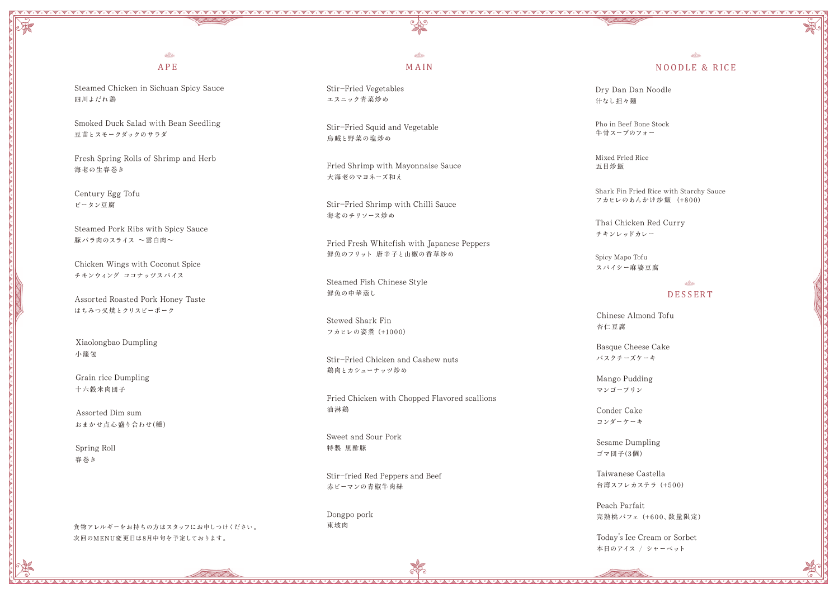### $A$ APE

## $A$ NOODLE & RICE

フカヒレのあんかけ炒飯 (+800) Shark Fin Fried Rice with Starchy Sauce

汁なし担々麺 Dry Dan Dan Noodle

牛骨スープのフォー Pho in Beef Bone Stock

五目炒飯 Mixed Fried Rice

チキンレッドカレー Thai Chicken Red Curry

スパイシー麻 婆豆腐 Spicy Mapo Tofu

フカヒレの姿煮 (+1000) Stewed Shark Fin

#### $s^2$ MAIN

エスニック青菜炒め Stir-Fried Vegetables

烏賊と野菜の塩 炒め Stir-Fried Squid and Vegetable

四川よだれ鶏 Steamed Chicken in Sichuan Spicy Sauce

> 大海老のマヨネーズ和え Fried Shrimp with Mayonnaise Sauce

豆苗とスモークダックのサラダ Smoked Duck Salad with Bean Seedling

豚 バラ肉のスライス ~雲白肉~ Steamed Pork Ribs with Spicy Sauce

海老のチリソース炒め Stir-Fried Shrimp with Chilli Sauce

海老の生春巻き Fresh Spring Rolls of Shrimp and Herb

ピータン豆腐 Century Egg Tofu

> 鮮魚のフリット 唐辛子と山椒の香草炒め Fried Fresh Whitefish with Japanese Peppers

鮮魚の中華蒸し Steamed Fish Chinese Style

チキンウィング ココナッツスパイス Chicken Wings with Coconut Spice

> 鶏肉とカシューナッツ炒め Stir-Fried Chicken and Cashew nuts

はちみつ叉焼とクリスピーポーク Assorted Roasted Pork Honey Taste

> 油淋鶏 Fried Chicken with Chopped Flavored scallions

特製 黒酢豚 Sweet and Sour Pork

赤ピーマンの青椒牛肉絲 Stir-fried Red Peppers and Beef

東坡肉 Dongpo pork 台湾スフレカステラ (+500) Taiwanese Castella

完熟桃 パフェ (+600、数量限定) Peach Parfait

小籠包 Xiaolongbao Dumpling

十六穀米肉団子 Grain rice Dumpling

おまかせ点心 盛り合わせ(種) Assorted Dim sum

春巻き Spring Roll

食物アレルギーをお持ちの方はスタッフにお申しつけください。 次回のMENU変更日は8月中旬を予定しております。



杏仁豆腐 Chinese Almond Tofu

バスクチーズケーキ Basque Cheese Cake

マンゴープリン Mango Pudding

コンダーケーキ Conder Cake

ゴマ団子(3個) Sesame Dumpling

本日のアイス / シャーベット Today's Ice Cream or Sorbet